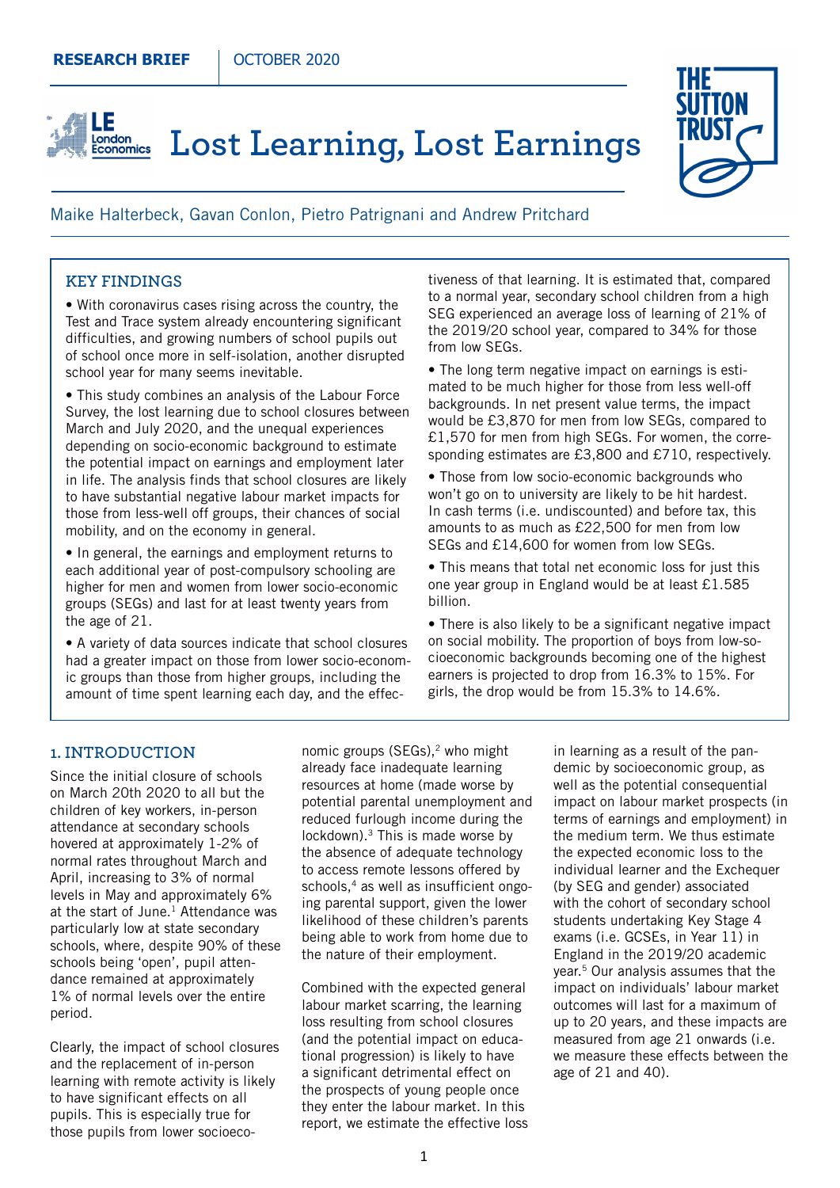## **Lost Learning, Lost Earnings** Economics



## Maike Halterbeck, Gavan Conlon, Pietro Patrignani and Andrew Pritchard

#### **KEY FINDINGS**

LE

• With coronavirus cases rising across the country, the Test and Trace system already encountering significant difficulties, and growing numbers of school pupils out of school once more in self-isolation, another disrupted school year for many seems inevitable.

• This study combines an analysis of the Labour Force Survey, the lost learning due to school closures between March and July 2020, and the unequal experiences depending on socio-economic background to estimate the potential impact on earnings and employment later in life. The analysis finds that school closures are likely to have substantial negative labour market impacts for those from less-well off groups, their chances of social mobility, and on the economy in general.

• In general, the earnings and employment returns to each additional year of post-compulsory schooling are higher for men and women from lower socio-economic groups (SEGs) and last for at least twenty years from the age of 21.

• A variety of data sources indicate that school closures had a greater impact on those from lower socio-economic groups than those from higher groups, including the amount of time spent learning each day, and the effectiveness of that learning. It is estimated that, compared to a normal year, secondary school children from a high SEG experienced an average loss of learning of 21% of the 2019/20 school year, compared to 34% for those from low SEGs.

• The long term negative impact on earnings is estimated to be much higher for those from less well-off backgrounds. In net present value terms, the impact would be £3,870 for men from low SEGs, compared to £1,570 for men from high SEGs. For women, the corresponding estimates are £3,800 and £710, respectively.

• Those from low socio-economic backgrounds who won't go on to university are likely to be hit hardest. In cash terms (i.e. undiscounted) and before tax, this amounts to as much as £22,500 for men from low SEGs and £14,600 for women from low SEGs.

• This means that total net economic loss for just this one year group in England would be at least £1.585 billion.

• There is also likely to be a significant negative impact on social mobility. The proportion of boys from low-socioeconomic backgrounds becoming one of the highest earners is projected to drop from 16.3% to 15%. For girls, the drop would be from 15.3% to 14.6%.

#### **1. INTRODUCTION**

Since the initial closure of schools on March 20th 2020 to all but the children of key workers, in-person attendance at secondary schools hovered at approximately 1-2% of normal rates throughout March and April, increasing to 3% of normal levels in May and approximately 6% at the start of June.<sup>1</sup> Attendance was particularly low at state secondary schools, where, despite 90% of these schools being 'open', pupil attendance remained at approximately 1% of normal levels over the entire period.

Clearly, the impact of school closures and the replacement of in-person learning with remote activity is likely to have significant effects on all pupils. This is especially true for those pupils from lower socioeconomic groups  $(SEGs),<sup>2</sup>$  who might already face inadequate learning resources at home (made worse by potential parental unemployment and reduced furlough income during the lockdown).<sup>3</sup> This is made worse by the absence of adequate technology to access remote lessons offered by schools,<sup>4</sup> as well as insufficient ongoing parental support, given the lower likelihood of these children's parents being able to work from home due to the nature of their employment.

Combined with the expected general labour market scarring, the learning loss resulting from school closures (and the potential impact on educational progression) is likely to have a significant detrimental effect on the prospects of young people once they enter the labour market. In this report, we estimate the effective loss in learning as a result of the pandemic by socioeconomic group, as well as the potential consequential impact on labour market prospects (in terms of earnings and employment) in the medium term. We thus estimate the expected economic loss to the individual learner and the Exchequer (by SEG and gender) associated with the cohort of secondary school students undertaking Key Stage 4 exams (i.e. GCSEs, in Year 11) in England in the 2019/20 academic year.5 Our analysis assumes that the impact on individuals' labour market outcomes will last for a maximum of up to 20 years, and these impacts are measured from age 21 onwards (i.e. we measure these effects between the age of 21 and 40).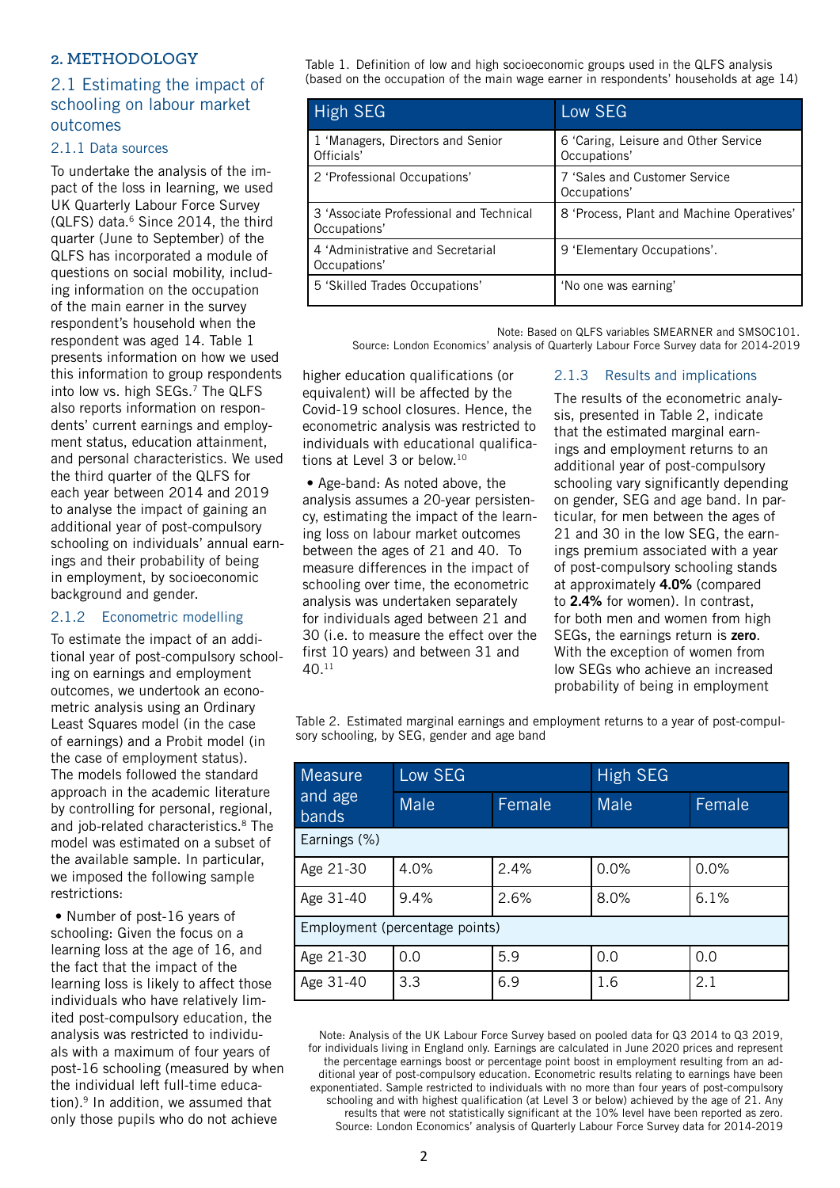## **2. METHODOLOGY**

# 2.1 Estimating the impact of schooling on labour market outcomes

#### 2.1.1 Data sources

To undertake the analysis of the impact of the loss in learning, we used UK Quarterly Labour Force Survey  $(QLFS)$  data. $6$  Since 2014, the third quarter (June to September) of the QLFS has incorporated a module of questions on social mobility, including information on the occupation of the main earner in the survey respondent's household when the respondent was aged 14. Table 1 presents information on how we used this information to group respondents into low vs. high SEGs.<sup>7</sup> The QLFS also reports information on respondents' current earnings and employment status, education attainment, and personal characteristics. We used the third quarter of the QLFS for each year between 2014 and 2019 to analyse the impact of gaining an additional year of post-compulsory schooling on individuals' annual earnings and their probability of being in employment, by socioeconomic background and gender.

#### 2.1.2 Econometric modelling

To estimate the impact of an additional year of post-compulsory schooling on earnings and employment outcomes, we undertook an econometric analysis using an Ordinary Least Squares model (in the case of earnings) and a Probit model (in the case of employment status). The models followed the standard approach in the academic literature by controlling for personal, regional, and job-related characteristics.<sup>8</sup> The model was estimated on a subset of the available sample. In particular, we imposed the following sample restrictions:

 • Number of post-16 years of schooling: Given the focus on a learning loss at the age of 16, and the fact that the impact of the learning loss is likely to affect those individuals who have relatively limited post-compulsory education, the analysis was restricted to individuals with a maximum of four years of post-16 schooling (measured by when the individual left full-time education).9 In addition, we assumed that only those pupils who do not achieve

Table 1. Definition of low and high socioeconomic groups used in the QLFS analysis (based on the occupation of the main wage earner in respondents' households at age 14)

| <b>High SEG</b>                                         | Low SEG                                              |
|---------------------------------------------------------|------------------------------------------------------|
| 1 'Managers, Directors and Senior<br>Officials'         | 6 'Caring, Leisure and Other Service<br>Occupations' |
| 2 'Professional Occupations'                            | 7 'Sales and Customer Service<br>Occupations'        |
| 3 'Associate Professional and Technical<br>Occupations' | 8 'Process, Plant and Machine Operatives'            |
| 4 'Administrative and Secretarial<br>Occupations'       | 9 'Elementary Occupations'.                          |
| 5 'Skilled Trades Occupations'                          | 'No one was earning'                                 |

Note: Based on QLFS variables SMEARNER and SMSOC101. Source: London Economics' analysis of Quarterly Labour Force Survey data for 2014-2019

higher education qualifications (or equivalent) will be affected by the Covid-19 school closures. Hence, the econometric analysis was restricted to individuals with educational qualifications at Level 3 or below.10

• Age-band: As noted above, the analysis assumes a 20-year persistency, estimating the impact of the learning loss on labour market outcomes between the ages of 21 and 40. To measure differences in the impact of schooling over time, the econometric analysis was undertaken separately for individuals aged between 21 and 30 (i.e. to measure the effect over the first 10 years) and between 31 and  $40^{11}$ 

## 2.1.3 Results and implications

The results of the econometric analysis, presented in Table 2, indicate that the estimated marginal earnings and employment returns to an additional year of post-compulsory schooling vary significantly depending on gender, SEG and age band. In particular, for men between the ages of 21 and 30 in the low SEG, the earnings premium associated with a year of post-compulsory schooling stands at approximately **4.0%** (compared to **2.4%** for women). In contrast, for both men and women from high SEGs, the earnings return is **zero**. With the exception of women from low SEGs who achieve an increased probability of being in employment

Table 2. Estimated marginal earnings and employment returns to a year of post-compulsory schooling, by SEG, gender and age band

| <b>Measure</b><br>and age<br><b>bands</b> | Low SEG     |        | High SEG |        |  |  |  |
|-------------------------------------------|-------------|--------|----------|--------|--|--|--|
|                                           | <b>Male</b> | Female | Male     | Female |  |  |  |
| Earnings (%)                              |             |        |          |        |  |  |  |
| Age 21-30                                 | 4.0%        | 2.4%   | 0.0%     | 0.0%   |  |  |  |
| Age 31-40                                 | 9.4%        | 2.6%   | 8.0%     | 6.1%   |  |  |  |
| Employment (percentage points)            |             |        |          |        |  |  |  |
| Age 21-30                                 | 0.0         | 5.9    | 0.0      | 0.0    |  |  |  |
| Age 31-40                                 | 3.3         | 6.9    | 1.6      | 2.1    |  |  |  |

Note: Analysis of the UK Labour Force Survey based on pooled data for Q3 2014 to Q3 2019, for individuals living in England only. Earnings are calculated in June 2020 prices and represent the percentage earnings boost or percentage point boost in employment resulting from an additional year of post-compulsory education. Econometric results relating to earnings have been exponentiated. Sample restricted to individuals with no more than four years of post-compulsory schooling and with highest qualification (at Level 3 or below) achieved by the age of 21. Any results that were not statistically significant at the 10% level have been reported as zero. Source: London Economics' analysis of Quarterly Labour Force Survey data for 2014-2019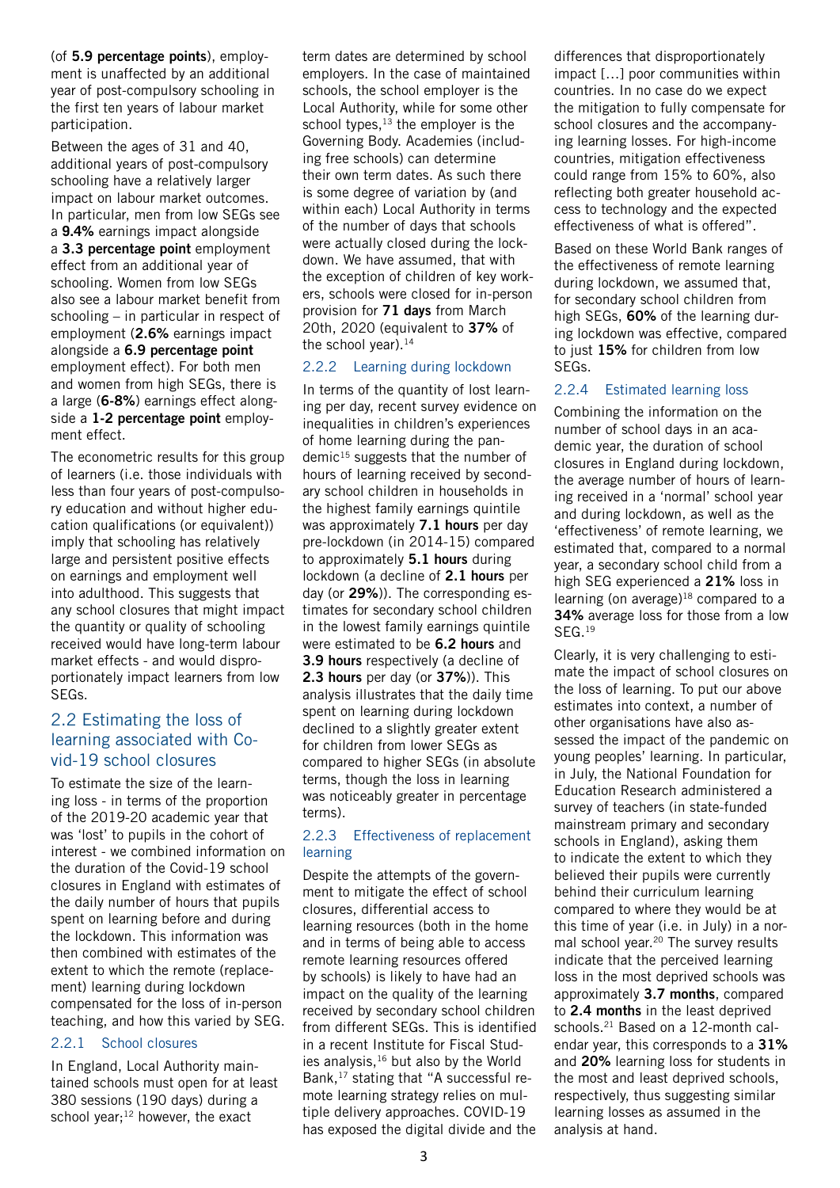(of **5.9 percentage points**), employment is unaffected by an additional year of post-compulsory schooling in the first ten years of labour market participation.

Between the ages of 31 and 40, additional years of post-compulsory schooling have a relatively larger impact on labour market outcomes. In particular, men from low SEGs see a **9.4%** earnings impact alongside a **3.3 percentage point** employment effect from an additional year of schooling. Women from low SEGs also see a labour market benefit from schooling – in particular in respect of employment (**2.6%** earnings impact alongside a **6.9 percentage point** employment effect). For both men and women from high SEGs, there is a large (**6-8%**) earnings effect alongside a **1-2 percentage point** employment effect.

The econometric results for this group of learners (i.e. those individuals with less than four years of post-compulsory education and without higher education qualifications (or equivalent)) imply that schooling has relatively large and persistent positive effects on earnings and employment well into adulthood. This suggests that any school closures that might impact the quantity or quality of schooling received would have long-term labour market effects - and would disproportionately impact learners from low SEGs.

# 2.2 Estimating the loss of learning associated with Covid-19 school closures

To estimate the size of the learning loss - in terms of the proportion of the 2019-20 academic year that was 'lost' to pupils in the cohort of interest - we combined information on the duration of the Covid-19 school closures in England with estimates of the daily number of hours that pupils spent on learning before and during the lockdown. This information was then combined with estimates of the extent to which the remote (replacement) learning during lockdown compensated for the loss of in-person teaching, and how this varied by SEG.

## 2.2.1 School closures

In England, Local Authority maintained schools must open for at least 380 sessions (190 days) during a school year; $^{12}$  however, the exact

term dates are determined by school employers. In the case of maintained schools, the school employer is the Local Authority, while for some other school types, $13$  the employer is the Governing Body. Academies (including free schools) can determine their own term dates. As such there is some degree of variation by (and within each) Local Authority in terms of the number of days that schools were actually closed during the lockdown. We have assumed, that with the exception of children of key workers, schools were closed for in-person provision for **71 days** from March 20th, 2020 (equivalent to **37%** of the school year). $14$ 

#### 2.2.2 Learning during lockdown

In terms of the quantity of lost learning per day, recent survey evidence on inequalities in children's experiences of home learning during the pandemic $15$  suggests that the number of hours of learning received by secondary school children in households in the highest family earnings quintile was approximately **7.1 hours** per day pre-lockdown (in 2014-15) compared to approximately **5.1 hours** during lockdown (a decline of **2.1 hours** per day (or **29%**)). The corresponding estimates for secondary school children in the lowest family earnings quintile were estimated to be **6.2 hours** and **3.9 hours** respectively (a decline of **2.3 hours** per day (or **37%**)). This analysis illustrates that the daily time spent on learning during lockdown declined to a slightly greater extent for children from lower SEGs as compared to higher SEGs (in absolute terms, though the loss in learning was noticeably greater in percentage terms).

#### 2.2.3 Effectiveness of replacement learning

Despite the attempts of the government to mitigate the effect of school closures, differential access to learning resources (both in the home and in terms of being able to access remote learning resources offered by schools) is likely to have had an impact on the quality of the learning received by secondary school children from different SEGs. This is identified in a recent Institute for Fiscal Studies analysis, $16$  but also by the World Bank,17 stating that "A successful remote learning strategy relies on multiple delivery approaches. COVID-19 has exposed the digital divide and the differences that disproportionately impact […] poor communities within countries. In no case do we expect the mitigation to fully compensate for school closures and the accompanying learning losses. For high-income countries, mitigation effectiveness could range from 15% to 60%, also reflecting both greater household access to technology and the expected effectiveness of what is offered".

Based on these World Bank ranges of the effectiveness of remote learning during lockdown, we assumed that, for secondary school children from high SEGs, **60%** of the learning during lockdown was effective, compared to just **15%** for children from low SEGs.

## 2.2.4 Estimated learning loss

Combining the information on the number of school days in an academic year, the duration of school closures in England during lockdown, the average number of hours of learning received in a 'normal' school year and during lockdown, as well as the 'effectiveness' of remote learning, we estimated that, compared to a normal year, a secondary school child from a high SEG experienced a **21%** loss in learning (on average) $18$  compared to a **34%** average loss for those from a low SEG.<sup>19</sup>

Clearly, it is very challenging to estimate the impact of school closures on the loss of learning. To put our above estimates into context, a number of other organisations have also assessed the impact of the pandemic on young peoples' learning. In particular, in July, the National Foundation for Education Research administered a survey of teachers (in state-funded mainstream primary and secondary schools in England), asking them to indicate the extent to which they believed their pupils were currently behind their curriculum learning compared to where they would be at this time of year (i.e. in July) in a normal school year.<sup>20</sup> The survey results indicate that the perceived learning loss in the most deprived schools was approximately **3.7 months**, compared to **2.4 months** in the least deprived schools.<sup>21</sup> Based on a 12-month calendar year, this corresponds to a **31%**  and **20%** learning loss for students in the most and least deprived schools, respectively, thus suggesting similar learning losses as assumed in the analysis at hand.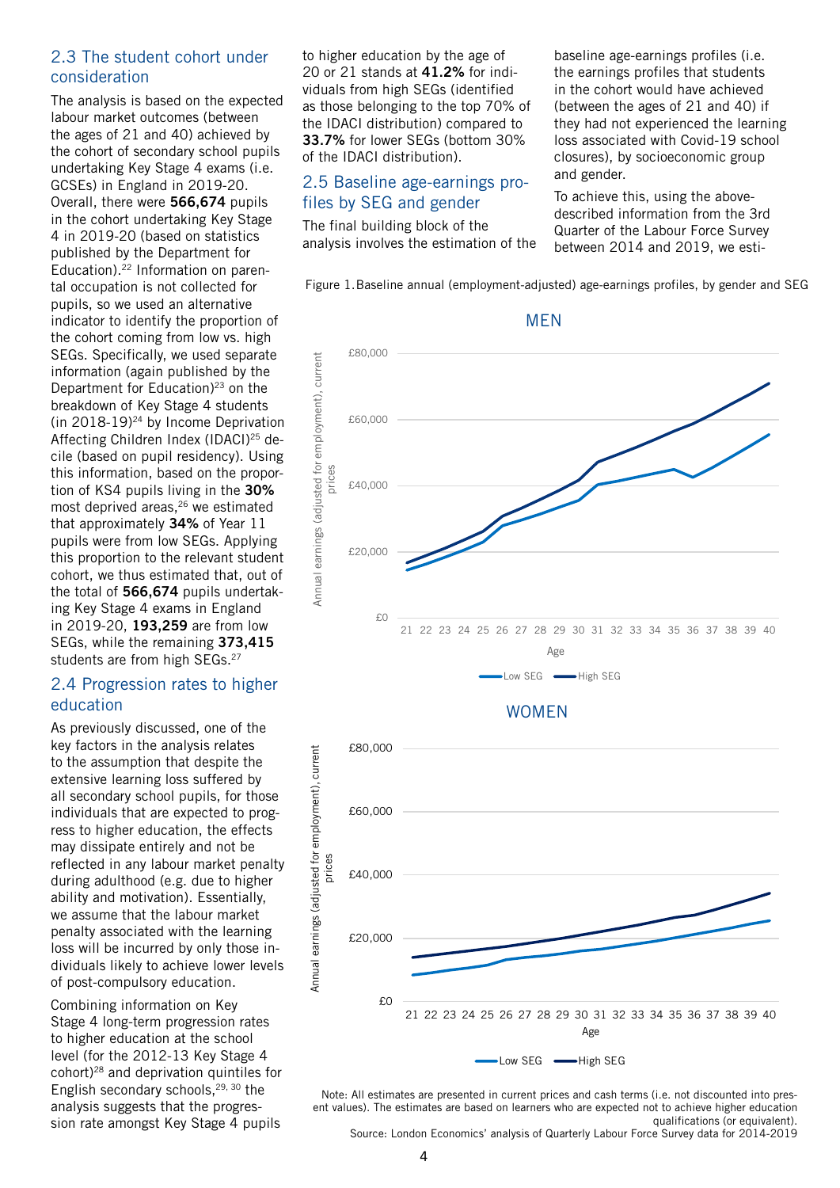# 2.3 The student cohort under consideration

The analysis is based on the expected labour market outcomes (between the ages of 21 and 40) achieved by the cohort of secondary school pupils undertaking Key Stage 4 exams (i.e. GCSEs) in England in 2019-20. Overall, there were **566,674** pupils in the cohort undertaking Key Stage 4 in 2019-20 (based on statistics published by the Department for Education).22 Information on parental occupation is not collected for pupils, so we used an alternative indicator to identify the proportion of the cohort coming from low vs. high SEGs. Specifically, we used separate information (again published by the Department for Education) $23$  on the breakdown of Key Stage 4 students (in 2018-19) $24$  by Income Deprivation Affecting Children Index (IDACI)25 decile (based on pupil residency). Using this information, based on the proportion of KS4 pupils living in the **30%** most deprived areas,<sup>26</sup> we estimated that approximately **34%** of Year 11 pupils were from low SEGs. Applying this proportion to the relevant student cohort, we thus estimated that, out of the total of **566,674** pupils undertaking Key Stage 4 exams in England in 2019-20, **193,259** are from low SEGs, while the remaining **373,415** students are from high SEGs.<sup>27</sup>

## 2.4 Progression rates to higher education

As previously discussed, one of the key factors in the analysis relates to the assumption that despite the extensive learning loss suffered by all secondary school pupils, for those individuals that are expected to progress to higher education, the effects may dissipate entirely and not be reflected in any labour market penalty during adulthood (e.g. due to higher ability and motivation). Essentially, we assume that the labour market penalty associated with the learning loss will be incurred by only those individuals likely to achieve lower levels of post-compulsory education.

Combining information on Key Stage 4 long-term progression rates to higher education at the school level (for the 2012-13 Key Stage 4 cohort)28 and deprivation quintiles for English secondary schools,<sup>29, 30</sup> the analysis suggests that the progression rate amongst Key Stage 4 pupils

to higher education by the age of 20 or 21 stands at **41.2%** for individuals from high SEGs (identified as those belonging to the top 70% of the IDACI distribution) compared to **33.7%** for lower SEGs (bottom 30% of the IDACI distribution).

# 2.5 Baseline age-earnings profiles by SEG and gender

The final building block of the analysis involves the estimation of the

baseline age-earnings profiles (i.e. the earnings profiles that students in the cohort would have achieved (between the ages of 21 and 40) if they had not experienced the learning loss associated with Covid-19 school closures), by socioeconomic group and gender.

To achieve this, using the abovedescribed information from the 3rd Quarter of the Labour Force Survey between 2014 and 2019, we esti-

Figure 1.Baseline annual (employment-adjusted) age-earnings profiles, by gender and SEG



#### WOMEN



Note: All estimates are presented in current prices and cash terms (i.e. not discounted into present values). The estimates are based on learners who are expected not to achieve higher education qualifications (or equivalent).

Source: London Economics' analysis of Quarterly Labour Force Survey data for 2014-2019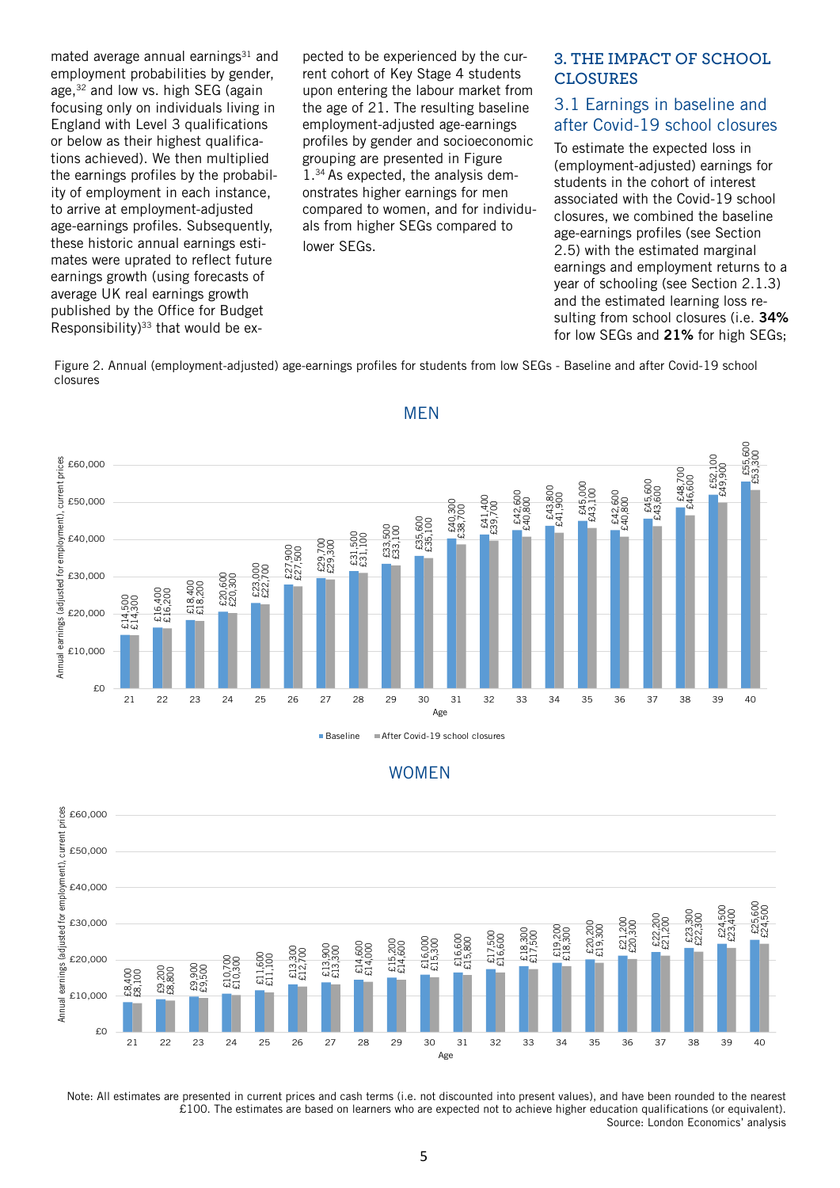mated average annual earnings $31$  and employment probabilities by gender, age.<sup>32</sup> and low vs. high SEG (again focusing only on individuals living in England with Level 3 qualifications or below as their highest qualifications achieved). We then multiplied the earnings profiles by the probability of employment in each instance, to arrive at employment-adjusted age-earnings profiles. Subsequently, these historic annual earnings estimates were uprated to reflect future earnings growth (using forecasts of average UK real earnings growth published by the Office for Budget Responsibility) $33$  that would be expected to be experienced by the current cohort of Key Stage 4 students upon entering the labour market from the age of 21. The resulting baseline employment-adjusted age-earnings profiles by gender and socioeconomic grouping are presented in Figure 1.34 As expected, the analysis demonstrates higher earnings for men compared to women, and for individuals from higher SEGs compared to lower SEGs.

## **3. THE IMPACT OF SCHOOL CLOSURES**

# 3.1 Earnings in baseline and after Covid-19 school closures

To estimate the expected loss in (employment-adjusted) earnings for students in the cohort of interest associated with the Covid-19 school closures, we combined the baseline age-earnings profiles (see Section 2.5) with the estimated marginal earnings and employment returns to a year of schooling (see Section 2.1.3) and the estimated learning loss resulting from school closures (i.e. **34%**  for low SEGs and **21%** for high SEGs;

Figure 2. Annual (employment-adjusted) age-earnings profiles for students from low SEGs - Baseline and after Covid-19 school closures







Note: All estimates are presented in current prices and cash terms (i.e. not discounted into present values), and have been rounded to the nearest £100. The estimates are based on learners who are expected not to achieve higher education qualifications (or equivalent). Source: London Economics' analysis

# MEN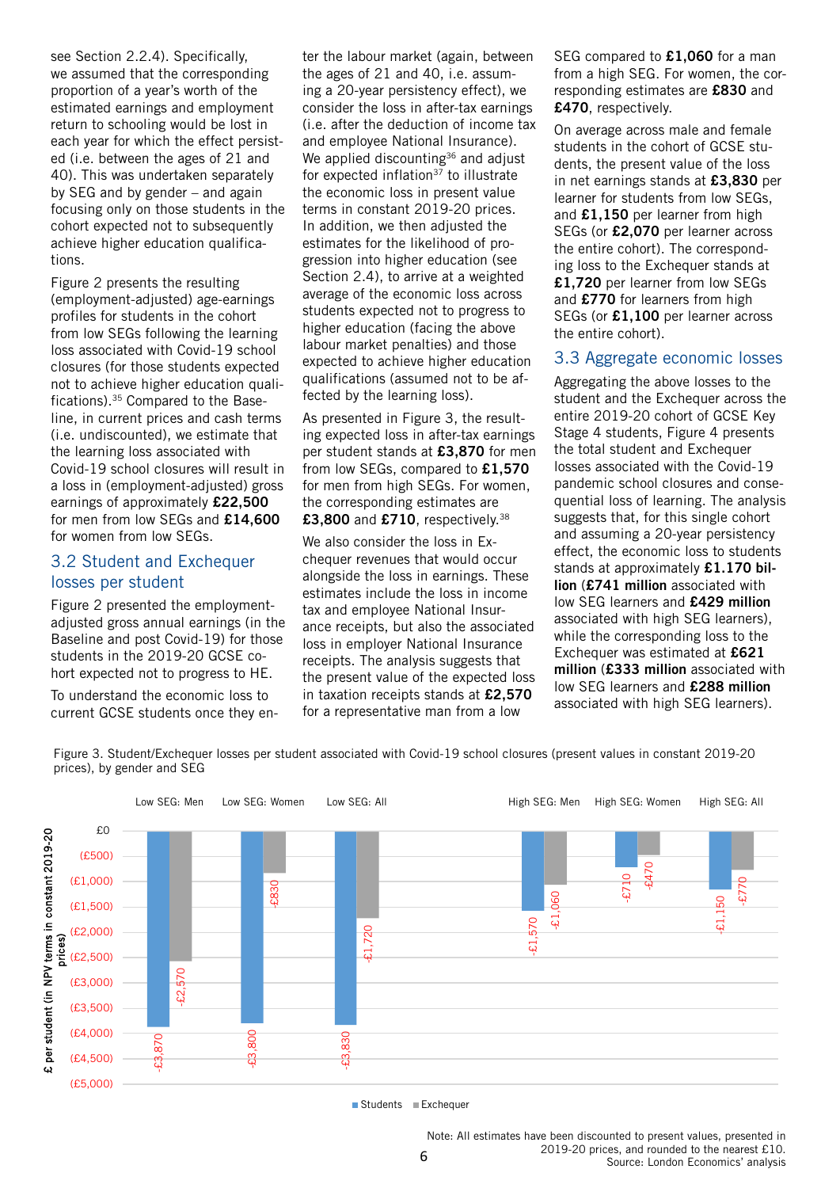see Section 2.2.4). Specifically, we assumed that the corresponding proportion of a year's worth of the estimated earnings and employment return to schooling would be lost in each year for which the effect persisted (i.e. between the ages of 21 and 40). This was undertaken separately by SEG and by gender – and again focusing only on those students in the cohort expected not to subsequently achieve higher education qualifications.

Figure 2 presents the resulting (employment-adjusted) age-earnings profiles for students in the cohort from low SEGs following the learning loss associated with Covid-19 school closures (for those students expected not to achieve higher education qualifications).35 Compared to the Baseline, in current prices and cash terms (i.e. undiscounted), we estimate that the learning loss associated with Covid-19 school closures will result in a loss in (employment-adjusted) gross earnings of approximately **£22,500** for men from low SEGs and **£14,600**  for women from low SEGs.

## 3.2 Student and Exchequer losses per student

Figure 2 presented the employmentadjusted gross annual earnings (in the Baseline and post Covid-19) for those students in the 2019-20 GCSE cohort expected not to progress to HE.

To understand the economic loss to current GCSE students once they enter the labour market (again, between the ages of 21 and 40, i.e. assuming a 20-year persistency effect), we consider the loss in after-tax earnings (i.e. after the deduction of income tax and employee National Insurance). We applied discounting<sup>36</sup> and adjust for expected inflation<sup>37</sup> to illustrate the economic loss in present value terms in constant 2019-20 prices. In addition, we then adjusted the estimates for the likelihood of progression into higher education (see Section 2.4), to arrive at a weighted average of the economic loss across students expected not to progress to higher education (facing the above labour market penalties) and those expected to achieve higher education qualifications (assumed not to be affected by the learning loss).

As presented in Figure 3, the resulting expected loss in after-tax earnings per student stands at **£3,870** for men from low SEGs, compared to **£1,570** for men from high SEGs. For women, the corresponding estimates are **£3,800** and **£710**, respectively.38

We also consider the loss in Exchequer revenues that would occur alongside the loss in earnings. These estimates include the loss in income tax and employee National Insurance receipts, but also the associated loss in employer National Insurance receipts. The analysis suggests that the present value of the expected loss in taxation receipts stands at **£2,570**  for a representative man from a low

SEG compared to **£1,060** for a man from a high SEG. For women, the corresponding estimates are **£830** and **£470**, respectively.

On average across male and female students in the cohort of GCSE students, the present value of the loss in net earnings stands at **£3,830** per learner for students from low SEGs, and **£1,150** per learner from high SEGs (or **£2,070** per learner across the entire cohort). The corresponding loss to the Exchequer stands at **£1,720** per learner from low SEGs and **£770** for learners from high SEGs (or **£1,100** per learner across the entire cohort).

#### 3.3 Aggregate economic losses

Aggregating the above losses to the student and the Exchequer across the entire 2019-20 cohort of GCSE Key Stage 4 students, Figure 4 presents the total student and Exchequer losses associated with the Covid-19 pandemic school closures and consequential loss of learning. The analysis suggests that, for this single cohort and assuming a 20-year persistency effect, the economic loss to students stands at approximately **£1.170 billion** (**£741 million** associated with low SEG learners and **£429 million** associated with high SEG learners), while the corresponding loss to the Exchequer was estimated at **£621 million** (**£333 million** associated with low SEG learners and **£288 million** associated with high SEG learners).

Figure 3. Student/Exchequer losses per student associated with Covid-19 school closures (present values in constant 2019-20 prices), by gender and SEG



Students Exchequer

Note: All estimates have been discounted to present values, presented in 2019-20 prices, and rounded to the nearest £10. Source: London Economics' analysis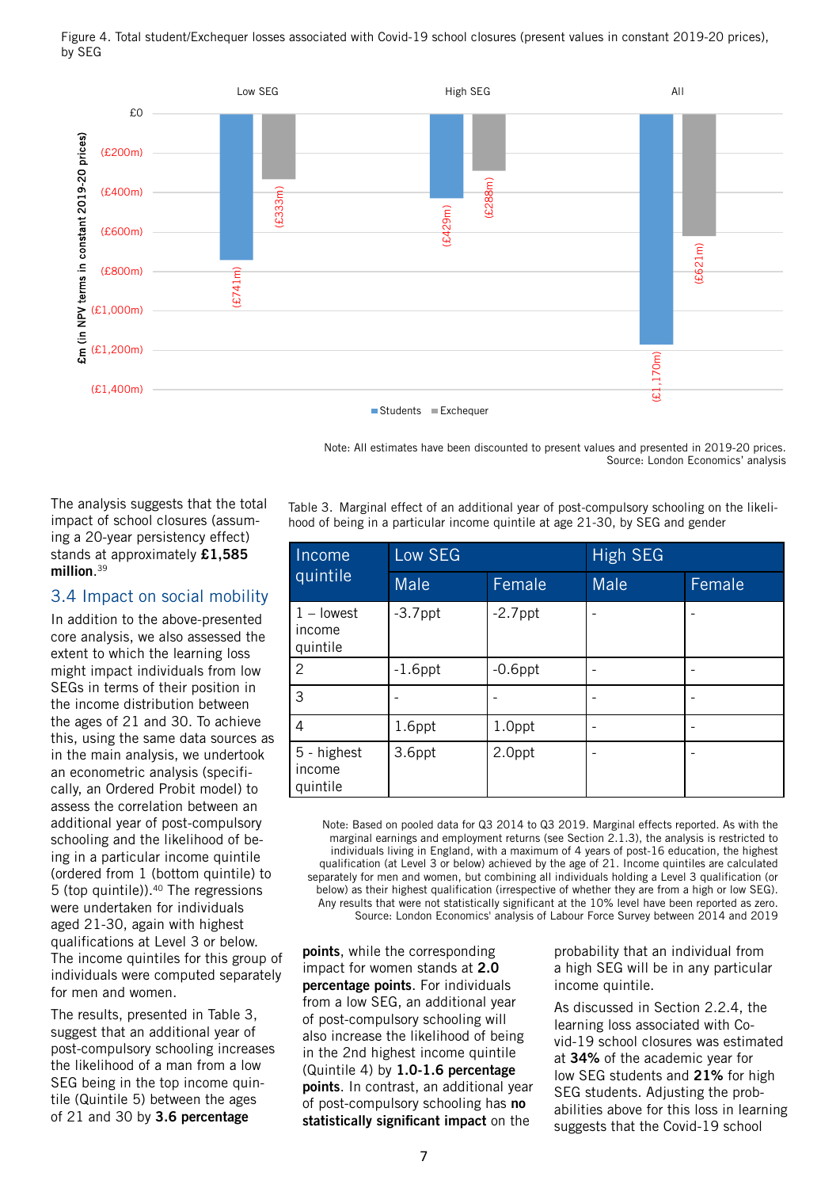Figure 4. Total student/Exchequer losses associated with Covid-19 school closures (present values in constant 2019-20 prices), by SEG



Note: All estimates have been discounted to present values and presented in 2019-20 prices. Source: London Economics' analysis

Table 3. Marginal effect of an additional year of post-compulsory schooling on the likelihood of being in a particular income quintile at age 21-30, by SEG and gender

| Income<br>quintile                 | Low SEG     |            | <b>High SEG</b> |        |
|------------------------------------|-------------|------------|-----------------|--------|
|                                    | <b>Male</b> | Female     | Male            | Female |
| $1 -$ lowest<br>income<br>quintile | $-3.7$ ppt  | $-2.7$ ppt |                 |        |
| 2                                  | $-1.6$ ppt  | $-0.6$ ppt |                 |        |
| 3                                  |             |            |                 |        |
| 4                                  | 1.6ppt      | 1.0ppt     |                 |        |
| 5 - highest<br>income<br>quintile  | 3.6ppt      | 2.0ppt     |                 |        |

Note: Based on pooled data for Q3 2014 to Q3 2019. Marginal effects reported. As with the marginal earnings and employment returns (see Section 2.1.3), the analysis is restricted to individuals living in England, with a maximum of 4 years of post-16 education, the highest qualification (at Level 3 or below) achieved by the age of 21. Income quintiles are calculated separately for men and women, but combining all individuals holding a Level 3 qualification (or below) as their highest qualification (irrespective of whether they are from a high or low SEG). Any results that were not statistically significant at the 10% level have been reported as zero. Source: London Economics' analysis of Labour Force Survey between 2014 and 2019

**points**, while the corresponding impact for women stands at **2.0 percentage points**. For individuals from a low SEG, an additional year of post-compulsory schooling will also increase the likelihood of being in the 2nd highest income quintile (Quintile 4) by **1.0-1.6 percentage points**. In contrast, an additional year of post-compulsory schooling has **no statistically significant impact** on the

probability that an individual from a high SEG will be in any particular income quintile.

As discussed in Section 2.2.4, the learning loss associated with Covid-19 school closures was estimated at **34%** of the academic year for low SEG students and **21%** for high SEG students. Adjusting the probabilities above for this loss in learning suggests that the Covid-19 school

The analysis suggests that the total impact of school closures (assuming a 20-year persistency effect) stands at approximately **£1,585 million**. 39

# 3.4 Impact on social mobility

In addition to the above-presented core analysis, we also assessed the extent to which the learning loss might impact individuals from low SEGs in terms of their position in the income distribution between the ages of 21 and 30. To achieve this, using the same data sources as in the main analysis, we undertook an econometric analysis (specifically, an Ordered Probit model) to assess the correlation between an additional year of post-compulsory schooling and the likelihood of being in a particular income quintile (ordered from 1 (bottom quintile) to 5 (top quintile)).40 The regressions were undertaken for individuals aged 21-30, again with highest qualifications at Level 3 or below. The income quintiles for this group of individuals were computed separately for men and women.

The results, presented in Table 3, suggest that an additional year of post-compulsory schooling increases the likelihood of a man from a low SEG being in the top income quintile (Quintile 5) between the ages of 21 and 30 by **3.6 percentage**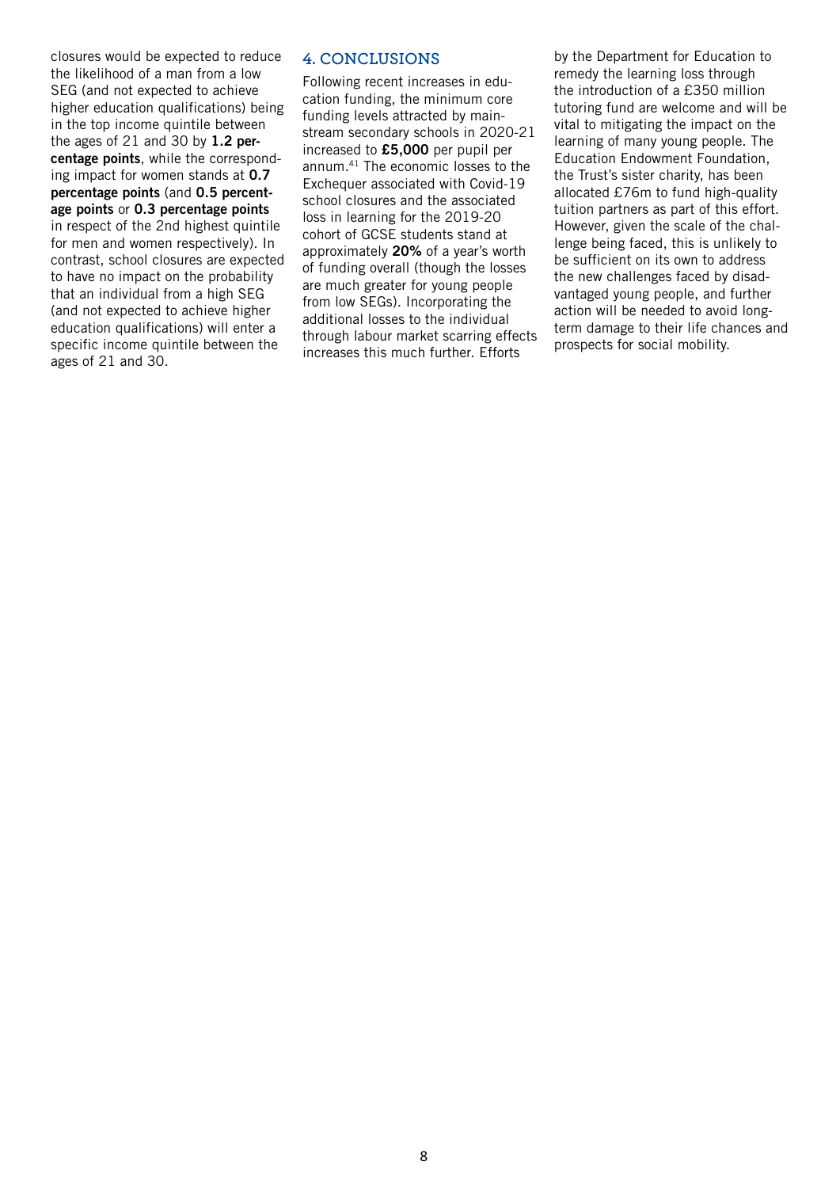closures would be expected to reduce the likelihood of a man from a low SEG (and not expected to achieve higher education qualifications) being in the top income quintile between the ages of 21 and 30 by **1.2 percentage points**, while the corresponding impact for women stands at **0.7 percentage points** (and **0.5 percentage points** or **0.3 percentage points** in respect of the 2nd highest quintile for men and women respectively). In contrast, school closures are expected to have no impact on the probability that an individual from a high SEG (and not expected to achieve higher education qualifications) will enter a specific income quintile between the ages of 21 and 30.

#### **4. CONCLUSIONS**

Following recent increases in education funding, the minimum core funding levels attracted by mainstream secondary schools in 2020-21 increased to **£5,000** per pupil per annum.41 The economic losses to the Exchequer associated with Covid-19 school closures and the associated loss in learning for the 2019-20 cohort of GCSE students stand at approximately **20%** of a year's worth of funding overall (though the losses are much greater for young people from low SEGs). Incorporating the additional losses to the individual through labour market scarring effects increases this much further. Efforts

by the Department for Education to remedy the learning loss through the introduction of a £350 million tutoring fund are welcome and will be vital to mitigating the impact on the learning of many young people. The Education Endowment Foundation, the Trust's sister charity, has been allocated £76m to fund high-quality tuition partners as part of this effort. However, given the scale of the challenge being faced, this is unlikely to be sufficient on its own to address the new challenges faced by disadvantaged young people, and further action will be needed to avoid longterm damage to their life chances and prospects for social mobility.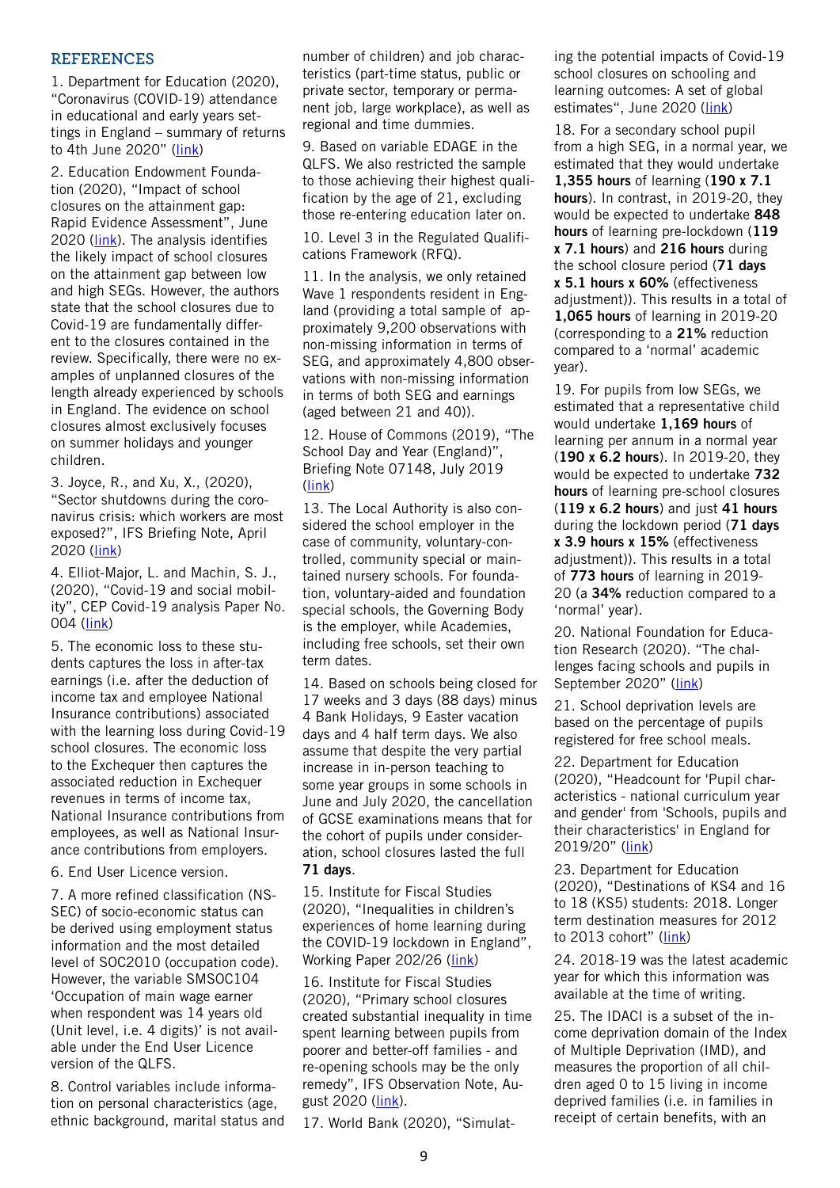#### **REFERENCES**

1. Department for Education (2020), "Coronavirus (COVID-19) attendance in educational and early years settings in England – summary of returns to 4th June 2020" ([link\)](https://assets.publishing.service.gov.uk/government/uploads/system/uploads/attachment_data/file/890949/Attendance_figures_coronavirus_covid_19_4_June_2020.pdf)

2. Education Endowment Foundation (2020), "Impact of school closures on the attainment gap: Rapid Evidence Assessment", June 2020 ([link\)](https://educationendowmentfoundation.org.uk/public/files/EEF_(2020)_-_Impact_of_School_Closures_on_the_Attainment_Gap.pdf). The analysis identifies the likely impact of school closures on the attainment gap between low and high SEGs. However, the authors state that the school closures due to Covid-19 are fundamentally different to the closures contained in the review. Specifically, there were no examples of unplanned closures of the length already experienced by schools in England. The evidence on school closures almost exclusively focuses on summer holidays and younger children.

3. Joyce, R., and Xu, X., (2020), "Sector shutdowns during the coronavirus crisis: which workers are most exposed?", IFS Briefing Note, April 2020 ([link\)](https://www.ifs.org.uk/publications/14791)

4. Elliot-Major, L. and Machin, S. J., (2020), "Covid-19 and social mobility", CEP Covid-19 analysis Paper No. 004 ([link\)](http://cep.lse.ac.uk/pubs/download/cepcovid-19-004.pdf)

5. The economic loss to these students captures the loss in after-tax earnings (i.e. after the deduction of income tax and employee National Insurance contributions) associated with the learning loss during Covid-19 school closures. The economic loss to the Exchequer then captures the associated reduction in Exchequer revenues in terms of income tax, National Insurance contributions from employees, as well as National Insurance contributions from employers.

6. End User Licence version.

7. A more refined classification (NS-SEC) of socio-economic status can be derived using employment status information and the most detailed level of SOC2010 (occupation code). However, the variable SMSOC104 'Occupation of main wage earner when respondent was 14 years old (Unit level, i.e. 4 digits)' is not available under the End User Licence version of the QLFS.

8. Control variables include information on personal characteristics (age, ethnic background, marital status and number of children) and job characteristics (part-time status, public or private sector, temporary or permanent job, large workplace), as well as regional and time dummies.

9. Based on variable EDAGE in the QLFS. We also restricted the sample to those achieving their highest qualification by the age of 21, excluding those re-entering education later on.

10. Level 3 in the Regulated Qualifications Framework (RFQ).

11. In the analysis, we only retained Wave 1 respondents resident in England (providing a total sample of approximately 9,200 observations with non-missing information in terms of SEG, and approximately 4,800 observations with non-missing information in terms of both SEG and earnings (aged between 21 and 40)).

12. House of Commons (2019), "The School Day and Year (England)", Briefing Note 07148, July 2019 ([link\)](https://researchbriefings.files.parliament.uk/documents/SN07148/SN07148.pdf)

13. The Local Authority is also considered the school employer in the case of community, voluntary-controlled, community special or maintained nursery schools. For foundation, voluntary-aided and foundation special schools, the Governing Body is the employer, while Academies, including free schools, set their own term dates.

14. Based on schools being closed for 17 weeks and 3 days (88 days) minus 4 Bank Holidays, 9 Easter vacation days and 4 half term days. We also assume that despite the very partial increase in in-person teaching to some year groups in some schools in June and July 2020, the cancellation of GCSE examinations means that for the cohort of pupils under consideration, school closures lasted the full **71 days**.

15. Institute for Fiscal Studies (2020), "Inequalities in children's experiences of home learning during the COVID-19 lockdown in England", Working Paper 202/26 ([link\)](https://www.ifs.org.uk/uploads/publications/wps/WP202026-Inequalities-childrens-experiences-home-learning-during-COVID-19-lockdown-England.pdf)

16. Institute for Fiscal Studies (2020), "Primary school closures created substantial inequality in time spent learning between pupils from poorer and better-off families - and re-opening schools may be the only remedy", IFS Observation Note, August 2020 ([link\)](https://www.ifs.org.uk/publications/14976).

17. World Bank (2020), "Simulat-

ing the potential impacts of Covid-19 school closures on schooling and learning outcomes: A set of global estimates", June 2020 [\(link](http://pubdocs.worldbank.org/en/798061592482682799/covid-and-education-June17-r6.pdf))

18. For a secondary school pupil from a high SEG, in a normal year, we estimated that they would undertake **1,355 hours** of learning (**190 x 7.1 hours**). In contrast, in 2019-20, they would be expected to undertake **848 hours** of learning pre-lockdown (**119 x 7.1 hours**) and **216 hours** during the school closure period (**71 days x 5.1 hours x 60%** (effectiveness adjustment)). This results in a total of **1,065 hours** of learning in 2019-20 (corresponding to a **21%** reduction compared to a 'normal' academic year).

19. For pupils from low SEGs, we estimated that a representative child would undertake **1,169 hours** of learning per annum in a normal year (**190 x 6.2 hours**). In 2019-20, they would be expected to undertake **732 hours** of learning pre-school closures (**119 x 6.2 hours**) and just **41 hours**  during the lockdown period (**71 days x 3.9 hours x 15%** (effectiveness adjustment)). This results in a total of **773 hours** of learning in 2019- 20 (a **34%** reduction compared to a 'normal' year).

20. National Foundation for Education Research (2020). "The challenges facing schools and pupils in September 2020" ([link](https://www.nfer.ac.uk/media/4119/schools_responses_to_covid_19_the_challenges_facing_schools_and_pupils_in_september_2020.pdf))

21. School deprivation levels are based on the percentage of pupils registered for free school meals.

22. Department for Education (2020), "Headcount for 'Pupil characteristics - national curriculum year and gender' from 'Schools, pupils and their characteristics' in England for 2019/20" ([link\)](https://explore-education-statistics.service.gov.uk/data-tables/school-pupils-and-their-characteristics)

23. Department for Education (2020), "Destinations of KS4 and 16 to 18 (KS5) students: 2018. Longer term destination measures for 2012 to 2013 cohort" [\(link](https://www.gov.uk/government/statistics/destinations-of-ks4-and-16-to-18-ks5-students-2018))

24. 2018-19 was the latest academic year for which this information was available at the time of writing.

25. The IDACI is a subset of the income deprivation domain of the Index of Multiple Deprivation (IMD), and measures the proportion of all children aged 0 to 15 living in income deprived families (i.e. in families in receipt of certain benefits, with an